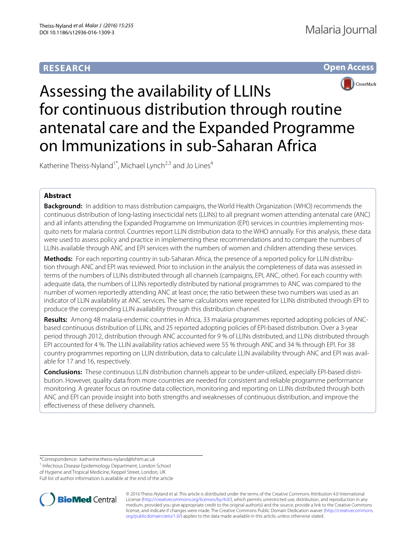# **RESEARCH**





# Assessing the availability of LLINs for continuous distribution through routine antenatal care and the Expanded Programme on Immunizations in sub‑Saharan Africa

Katherine Theiss-Nyland<sup>1\*</sup>, Michael Lynch<sup>2,3</sup> and Jo Lines<sup>4</sup>

# **Abstract**

**Background:** In addition to mass distribution campaigns, the World Health Organization (WHO) recommends the continuous distribution of long-lasting insecticidal nets (LLINs) to all pregnant women attending antenatal care (ANC) and all infants attending the Expanded Programme on Immunization (EPI) services in countries implementing mosquito nets for malaria control. Countries report LLIN distribution data to the WHO annually. For this analysis, these data were used to assess policy and practice in implementing these recommendations and to compare the numbers of LLINs available through ANC and EPI services with the numbers of women and children attending these services.

Methods: For each reporting country in sub-Saharan Africa, the presence of a reported policy for LLIN distribution through ANC and EPI was reviewed. Prior to inclusion in the analysis the completeness of data was assessed in terms of the numbers of LLINs distributed through all channels (campaigns, EPI, ANC, other). For each country with adequate data, the numbers of LLINs reportedly distributed by national programmes to ANC was compared to the number of women reportedly attending ANC at least once; the ratio between these two numbers was used as an indicator of LLIN availability at ANC services. The same calculations were repeated for LLINs distributed through EPI to produce the corresponding LLIN availability through this distribution channel.

**Results:** Among 48 malaria-endemic countries in Africa, 33 malaria programmes reported adopting policies of ANCbased continuous distribution of LLINs, and 25 reported adopting policies of EPI-based distribution. Over a 3-year period through 2012, distribution through ANC accounted for 9 % of LLINs distributed, and LLINs distributed through EPI accounted for 4 %. The LLIN availability ratios achieved were 55 % through ANC and 34 % through EPI. For 38 country programmes reporting on LLIN distribution, data to calculate LLIN availability through ANC and EPI was available for 17 and 16, respectively.

**Conclusions:** These continuous LLIN distribution channels appear to be under-utilized, especially EPI-based distri‑ bution. However, quality data from more countries are needed for consistent and reliable programme performance monitoring. A greater focus on routine data collection, monitoring and reporting on LLINs distributed through both ANC and EPI can provide insight into both strengths and weaknesses of continuous distribution, and improve the effectiveness of these delivery channels.

\*Correspondence: katherine.theiss‑nyland@lshtm.ac.uk <sup>1</sup> Infectious Disease Epidemiology Department, London School of Hygiene and Tropical Medicine, Keppel Street, London, UK Full list of author information is available at the end of the article



© 2016 Theiss-Nyland et al. This article is distributed under the terms of the Creative Commons Attribution 4.0 International License (<http://creativecommons.org/licenses/by/4.0/>), which permits unrestricted use, distribution, and reproduction in any medium, provided you give appropriate credit to the original author(s) and the source, provide a link to the Creative Commons license, and indicate if changes were made. The Creative Commons Public Domain Dedication waiver ([http://creativecommons.](http://creativecommons.org/publicdomain/zero/1.0/) [org/publicdomain/zero/1.0/](http://creativecommons.org/publicdomain/zero/1.0/)) applies to the data made available in this article, unless otherwise stated.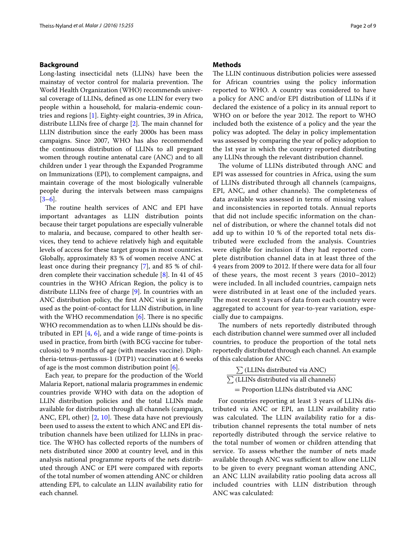## **Background**

Long-lasting insecticidal nets (LLINs) have been the mainstay of vector control for malaria prevention. The World Health Organization (WHO) recommends universal coverage of LLINs, defined as one LLIN for every two people within a household, for malaria-endemic countries and regions [[1\]](#page-7-0). Eighty-eight countries, 39 in Africa, distribute LLINs free of charge [\[2](#page-7-1)]. The main channel for LLIN distribution since the early 2000s has been mass campaigns. Since 2007, WHO has also recommended the continuous distribution of LLINs to all pregnant women through routine antenatal care (ANC) and to all children under 1 year through the Expanded Programme on Immunizations (EPI), to complement campaigns, and maintain coverage of the most biologically vulnerable people during the intervals between mass campaigns [[3–](#page-7-2)[6\]](#page-7-3).

The routine health services of ANC and EPI have important advantages as LLIN distribution points because their target populations are especially vulnerable to malaria, and because, compared to other health services, they tend to achieve relatively high and equitable levels of access for these target groups in most countries. Globally, approximately 83 % of women receive ANC at least once during their pregnancy [[7\]](#page-7-4), and 85 % of children complete their vaccination schedule [[8](#page-8-0)]. In 41 of 45 countries in the WHO African Region, the policy is to distribute LLINs free of charge [\[9](#page-8-1)]. In countries with an ANC distribution policy, the first ANC visit is generally used as the point-of-contact for LLIN distribution, in line with the WHO recommendation  $[6]$  $[6]$ . There is no specific WHO recommendation as to when LLINs should be distributed in EPI  $[4, 6]$  $[4, 6]$  $[4, 6]$  $[4, 6]$ , and a wide range of time-points is used in practice, from birth (with BCG vaccine for tuberculosis) to 9 months of age (with measles vaccine). Diphtheria-tetnus-pertussus-1 (DTP1) vaccination at 6 weeks of age is the most common distribution point  $[6]$  $[6]$ .

Each year, to prepare for the production of the World Malaria Report, national malaria programmes in endemic countries provide WHO with data on the adoption of LLIN distribution policies and the total LLINs made available for distribution through all channels (campaign, ANC, EPI, other) [\[2](#page-7-1), [10](#page-8-2)]. These data have not previously been used to assess the extent to which ANC and EPI distribution channels have been utilized for LLINs in practice. The WHO has collected reports of the numbers of nets distributed since 2000 at country level, and in this analysis national programme reports of the nets distributed through ANC or EPI were compared with reports of the total number of women attending ANC or children attending EPI, to calculate an LLIN availability ratio for each channel.

#### **Methods**

The LLIN continuous distribution policies were assessed for African countries using the policy information reported to WHO. A country was considered to have a policy for ANC and/or EPI distribution of LLINs if it declared the existence of a policy in its annual report to WHO on or before the year 2012. The report to WHO included both the existence of a policy and the year the policy was adopted. The delay in policy implementation was assessed by comparing the year of policy adoption to the 1st year in which the country reported distributing any LLINs through the relevant distribution channel.

The volume of LLINs distributed through ANC and EPI was assessed for countries in Africa, using the sum of LLINs distributed through all channels (campaigns, EPI, ANC, and other channels). The completeness of data available was assessed in terms of missing values and inconsistencies in reported totals. Annual reports that did not include specific information on the channel of distribution, or where the channel totals did not add up to within 10 % of the reported total nets distributed were excluded from the analysis. Countries were eligible for inclusion if they had reported complete distribution channel data in at least three of the 4 years from 2009 to 2012. If there were data for all four of these years, the most recent 3 years (2010–2012) were included. In all included countries, campaign nets were distributed in at least one of the included years. The most recent 3 years of data from each country were aggregated to account for year-to-year variation, especially due to campaigns.

The numbers of nets reportedly distributed through each distribution channel were summed over all included countries, to produce the proportion of the total nets reportedly distributed through each channel. An example of this calculation for ANC:

 $\sum$  (LLINs distributed via ANC)  $\sum$  (LLINs distributed via all channels) = Proportion LLINs distributed via ANC

For countries reporting at least 3 years of LLINs distributed via ANC or EPI, an LLIN availability ratio was calculated. The LLIN availability ratio for a distribution channel represents the total number of nets reportedly distributed through the service relative to the total number of women or children attending that service. To assess whether the number of nets made available through ANC was sufficient to allow one LLIN to be given to every pregnant woman attending ANC, an ANC LLIN availability ratio pooling data across all included countries with LLIN distribution through ANC was calculated: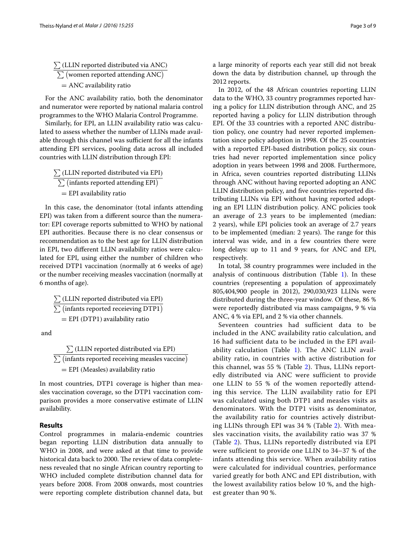$\sum$  (LLIN reported distributed via ANC)  $\sum$  (women reported attending ANC)  $=$  ANC availability ratio

For the ANC availability ratio, both the denominator and numerator were reported by national malaria control programmes to the WHO Malaria Control Programme.

Similarly, for EPI, an LLIN availability ratio was calculated to assess whether the number of LLINs made available through this channel was sufficient for all the infants attending EPI services, pooling data across all included countries with LLIN distribution through EPI:

$$
\frac{\sum (LLIN reported distributed via EPI)}{\sum (infants reported attending EPI)} = EPI availability ratio
$$

In this case, the denominator (total infants attending EPI) was taken from a different source than the numerator: EPI coverage reports submitted to WHO by national EPI authorities. Because there is no clear consensus or recommendation as to the best age for LLIN distribution in EPI, two different LLIN availability ratios were calculated for EPI, using either the number of children who received DTP1 vaccination (normally at 6 weeks of age) or the number receiving measles vaccination (normally at 6 months of age).

 $\sum$  (LLIN reported distributed via EPI)  $\sum$  (infants reported receieving DTP1)  $=$  EPI (DTP1) availability ratio

and

 $\sum$  (LLIN reported distributed via EPI)  $\sum$  (infants reported receiving measles vaccine)  $=$  EPI (Measles) availability ratio

In most countries, DTP1 coverage is higher than measles vaccination coverage, so the DTP1 vaccination comparison provides a more conservative estimate of LLIN availability.

### **Results**

Control programmes in malaria-endemic countries began reporting LLIN distribution data annually to WHO in 2008, and were asked at that time to provide historical data back to 2000. The review of data completeness revealed that no single African country reporting to WHO included complete distribution channel data for years before 2008. From 2008 onwards, most countries were reporting complete distribution channel data, but a large minority of reports each year still did not break down the data by distribution channel, up through the 2012 reports.

In 2012, of the 48 African countries reporting LLIN data to the WHO, 33 country programmes reported having a policy for LLIN distribution through ANC, and 25 reported having a policy for LLIN distribution through EPI. Of the 33 countries with a reported ANC distribution policy, one country had never reported implementation since policy adoption in 1998. Of the 25 countries with a reported EPI-based distribution policy, six countries had never reported implementation since policy adoption in years between 1998 and 2008. Furthermore, in Africa, seven countries reported distributing LLINs through ANC without having reported adopting an ANC LLIN distribution policy, and five countries reported distributing LLINs via EPI without having reported adopting an EPI LLIN distribution policy. ANC policies took an average of 2.3 years to be implemented (median: 2 years), while EPI policies took an average of 2.7 years to be implemented (median: 2 years). The range for this interval was wide, and in a few countries there were long delays: up to 11 and 9 years, for ANC and EPI, respectively.

In total, 38 country programmes were included in the analysis of continuous distribution (Table [1](#page-3-0)). In these countries (representing a population of approximately 805,404,900 people in 2012), 290,030,923 LLINs were distributed during the three-year window. Of these, 86 % were reportedly distributed via mass campaigns, 9 % via ANC, 4 % via EPI, and 2 % via other channels.

Seventeen countries had sufficient data to be included in the ANC availability ratio calculation, and 16 had sufficient data to be included in the EPI avail-ability calculation (Table [1](#page-3-0)). The ANC LLIN availability ratio, in countries with active distribution for this channel, was 55 % (Table [2](#page-4-0)). Thus, LLINs reportedly distributed via ANC were sufficient to provide one LLIN to 55 % of the women reportedly attending this service. The LLIN availability ratio for EPI was calculated using both DTP1 and measles visits as denominators. With the DTP1 visits as denominator, the availability ratio for countries actively distributing LLINs through EPI was 34 % (Table [2\)](#page-4-0). With measles vaccination visits, the availability ratio was 37 % (Table [2](#page-4-0)). Thus, LLINs reportedly distributed via EPI were sufficient to provide one LLIN to 34–37 % of the infants attending this service. When availability ratios were calculated for individual countries, performance varied greatly for both ANC and EPI distribution, with the lowest availability ratios below 10 %, and the highest greater than 90 %.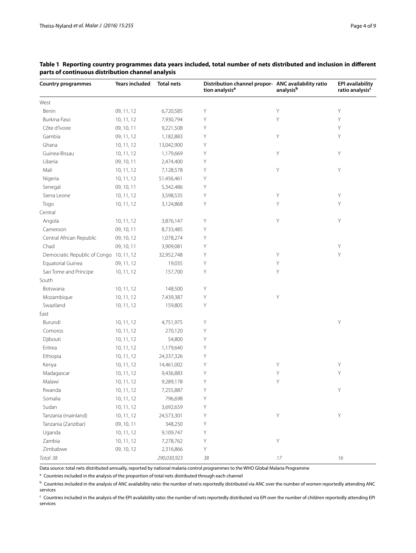| <b>Country programmes</b>               | <b>Years included</b> | <b>Total nets</b> | Distribution channel propor- ANC availability ratio<br>tion analysis <sup>a</sup> | analysisb   | <b>EPI availability</b><br>ratio analysis <sup>c</sup> |
|-----------------------------------------|-----------------------|-------------------|-----------------------------------------------------------------------------------|-------------|--------------------------------------------------------|
| West                                    |                       |                   |                                                                                   |             |                                                        |
| Benin                                   | 09, 11, 12            | 6,720,585         | Υ<br>Y                                                                            |             | Y                                                      |
| Burkina Faso                            | 10, 11, 12            | 7,930,794         | Υ                                                                                 | Y           | Y                                                      |
| Côte d'Ivoire                           | 09, 10, 11            | 9,221,508         | Υ                                                                                 |             | Y                                                      |
| Gambia                                  | 09, 11, 12            | 1,182,883         | Υ                                                                                 | Y           | Y                                                      |
| Ghana                                   | 10, 11, 12            | 13,042,900        | Υ                                                                                 |             |                                                        |
| Guinea-Bissau                           | 10, 11, 12            | 1,179,669         | Υ                                                                                 | Y           | Υ                                                      |
| Liberia                                 | 09, 10, 11            | 2,474,400         | Υ                                                                                 |             |                                                        |
| Mali                                    | 10, 11, 12            | 7,128,578         | Υ                                                                                 | Y           | Y                                                      |
| Nigeria                                 | 10, 11, 12            | 51,456,461        | Υ                                                                                 |             |                                                        |
| Senegal                                 | 09, 10, 11            | 5,342,486         | Y                                                                                 |             |                                                        |
| Sierra Leone                            | 10, 11, 12            | 3,598,535         | Υ                                                                                 | Υ           | Υ                                                      |
| Togo                                    | 10, 11, 12            | 3,124,868         | Υ                                                                                 | Y           | Y                                                      |
| Central                                 |                       |                   |                                                                                   |             |                                                        |
| Angola                                  | 10, 11, 12            | 3,876,147         | Υ                                                                                 | Y           | Y                                                      |
| Cameroon                                | 09, 10, 11            | 8,733,485         | Υ                                                                                 |             |                                                        |
| Central African Republic                | 09, 10, 12            | 1,078,274         | Y                                                                                 |             |                                                        |
| Chad                                    | 09, 10, 11            | 3,909,081         | Y                                                                                 |             | Y                                                      |
| Democratic Republic of Congo 10, 11, 12 |                       | 32,952,748        | Y                                                                                 | Y           | Y                                                      |
| Equatorial Guinea                       | 09, 11, 12            | 19,035            | Y                                                                                 | Y           |                                                        |
| Sao Tome and Principe                   | 10, 11, 12            | 157,700           | Y                                                                                 | Y           |                                                        |
| South                                   |                       |                   |                                                                                   |             |                                                        |
| Botswana                                | 10, 11, 12            | 148,500           | Y                                                                                 |             |                                                        |
| Mozambique                              | 10, 11, 12            | 7,439,387         | Y                                                                                 | Y           |                                                        |
| Swaziland                               | 10, 11, 12            | 159,805           | Υ                                                                                 |             |                                                        |
| East                                    |                       |                   |                                                                                   |             |                                                        |
| Burundi                                 | 10, 11, 12            | 4,751,975         | Y                                                                                 |             | Y                                                      |
| Comoros                                 | 10, 11, 12            | 270,120           | Y                                                                                 |             |                                                        |
| Djibouti                                | 10, 11, 12            | 54,800            | Y                                                                                 |             |                                                        |
| Eritrea                                 | 10, 11, 12            | 1,179,640         | Y                                                                                 |             |                                                        |
| Ethiopia                                | 10, 11, 12            | 24,337,326        | Υ                                                                                 |             |                                                        |
| Kenya                                   | 10, 11, 12            | 14,461,002        | Υ                                                                                 | Y           | Y                                                      |
| Madagascar                              | 10, 11, 12            | 9,436,883         | Y                                                                                 | $\mathsf Y$ | Y                                                      |
| Malawi                                  | 10, 11, 12            | 9,289,178         | Y                                                                                 | Y           |                                                        |
| Rwanda                                  | 10, 11, 12            | 7,255,887         | Y                                                                                 |             | Y                                                      |
| Somalia                                 | 10, 11, 12            | 796,698           | Υ                                                                                 |             |                                                        |
| Sudan                                   | 10, 11, 12            | 3,692,659         | Υ                                                                                 |             |                                                        |
| Tanzania (mainland)                     | 10, 11, 12            | 24,573,301        | Υ                                                                                 | $\mathsf Y$ | Υ                                                      |
| Tanzania (Zanzibar)                     | 09, 10, 11            | 348,250           | Υ                                                                                 |             |                                                        |
| Uganda                                  | 10, 11, 12            | 9,109,747         | Υ                                                                                 |             |                                                        |
| Zambia                                  | 10, 11, 12            | 7,278,762         | Υ                                                                                 | Y           |                                                        |
| Zimbabwe                                | 09, 10, 12            | 2,316,866         | Υ                                                                                 |             |                                                        |
| Total: 38                               |                       | 290,030,923       | $38\,$                                                                            | 17          | 16                                                     |

# <span id="page-3-0"></span>**Table 1 Reporting country programmes data years included, total number of nets distributed and inclusion in different parts of continuous distribution channel analysis**

Data source: total nets distributed annually, reported by national malaria control programmes to the WHO Global Malaria Programme

<sup>a</sup> Countries included in the analysis of the proportion of total nets distributed through each channel

<sup>b</sup> Countries included in the analysis of ANC availability ratio: the number of nets reportedly distributed via ANC over the number of women reportedly attending ANC services

<sup>c</sup> Countries included in the analysis of the EPI availability ratio: the number of nets reportedly distributed via EPI over the number of children reportedly attending EPI services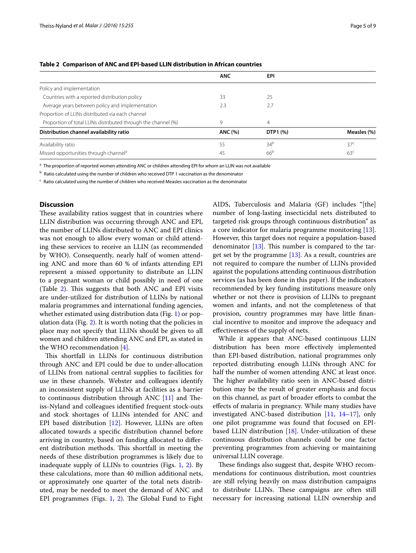|                                                               | <b>ANC</b> | EPI             |                 |
|---------------------------------------------------------------|------------|-----------------|-----------------|
| Policy and implementation                                     |            |                 |                 |
| Countries with a reported distribution policy                 | 33         | 25              |                 |
| Average years between policy and implementation               | 2.3        | 2.7             |                 |
| Proportion of LLINs distributed via each channel              |            |                 |                 |
| Proportion of total LLINs distributed through the channel (%) | 9          | 4               |                 |
| Distribution channel availability ratio                       | ANC (%)    | DTP1 (%)        | Measles (%)     |
| Availability ratio                                            | 55         | 34 <sup>b</sup> | 37 <sup>c</sup> |
| Missed opportunities through channel <sup>a</sup>             | 45         | 66 <sup>b</sup> | 63 <sup>c</sup> |

## <span id="page-4-0"></span>**Table 2 Comparison of ANC and EPI-based LLIN distribution in African countries**

a The proportion of reported women attending ANC or children attending EPI for whom an LLIN was not available

b Ratio calculated using the number of children who received DTP 1 vaccination as the denominator

 $c$  Ratio calculated using the number of children who received Measles vaccination as the denominator

### **Discussion**

These availability ratios suggest that in countries where LLIN distribution was occurring through ANC and EPI, the number of LLINs distributed to ANC and EPI clinics was not enough to allow every woman or child attending these services to receive an LLIN (as recommended by WHO). Consequently, nearly half of women attending ANC and more than 60 % of infants attending EPI represent a missed opportunity to distribute an LLIN to a pregnant woman or child possibly in need of one (Table [2\)](#page-4-0). This suggests that both ANC and EPI visits are under-utilized for distribution of LLINs by national malaria programmes and international funding agencies, whether estimated using distribution data (Fig. [1\)](#page-5-0) or population data (Fig. [2](#page-6-0)). It is worth noting that the policies in place may not specify that LLINs should be given to all women and children attending ANC and EPI, as stated in the WHO recommendation [[4](#page-7-5)].

This shortfall in LLINs for continuous distribution through ANC and EPI could be due to under-allocation of LLINs from national central supplies to facilities for use in these channels. Webster and colleagues identify an inconsistent supply of LLINs at facilities as a barrier to continuous distribution through ANC [[11\]](#page-8-3) and Theiss-Nyland and colleagues identified frequent stock-outs and stock shortages of LLINs intended for ANC and EPI based distribution [[12](#page-8-4)]. However, LLINs are often allocated towards a specific distribution channel before arriving in country, based on funding allocated to different distribution methods. This shortfall in meeting the needs of these distribution programmes is likely due to inadequate supply of LLINs to countries (Figs. [1](#page-5-0), [2](#page-6-0)). By these calculations, more than 40 million additional nets, or approximately one quarter of the total nets distributed, may be needed to meet the demand of ANC and EPI programmes (Figs. [1,](#page-5-0) [2\)](#page-6-0). The Global Fund to Fight AIDS, Tuberculosis and Malaria (GF) includes "[the] number of long-lasting insecticidal nets distributed to targeted risk groups through continuous distribution" as a core indicator for malaria programme monitoring [\[13](#page-8-5)]. However, this target does not require a population-based denominator  $[13]$  $[13]$  $[13]$ . This number is compared to the target set by the programme  $[13]$  $[13]$ . As a result, countries are not required to compare the number of LLINs provided against the populations attending continuous distribution services (as has been done in this paper). If the indicators recommended by key funding institutions measure only whether or not there is provision of LLINs to pregnant women and infants, and not the completeness of that provision, country programmes may have little financial incentive to monitor and improve the adequacy and effectiveness of the supply of nets.

While it appears that ANC-based continuous LLIN distribution has been more effectively implemented than EPI-based distribution, national programmes only reported distributing enough LLINs through ANC for half the number of women attending ANC at least once. The higher availability ratio seen in ANC-based distribution may be the result of greater emphasis and focus on this channel, as part of broader efforts to combat the effects of malaria in pregnancy. While many studies have investigated ANC-based distribution [\[11](#page-8-3), [14–](#page-8-6)[17\]](#page-8-7), only one pilot programme was found that focused on EPIbased LLIN distribution  $[18]$  $[18]$ . Under-utilization of these continuous distribution channels could be one factor preventing programmes from achieving or maintaining universal LLIN coverage.

These findings also suggest that, despite WHO recommendations for continuous distribution, most countries are still relying heavily on mass distribution campaigns to distribute LLINs. These campaigns are often still necessary for increasing national LLIN ownership and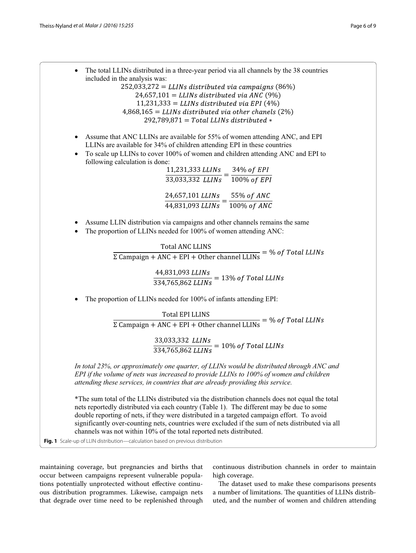• The total LLINs distributed in a three-year period via all channels by the 38 countries included in the analysis was:  $252,033,272 = LLINs$  distributed via campaigns (86%)  $24,657,101 = L<sub>L</sub>$ INs distributed via ANC (9%)  $11,231,333 = L<sub>L</sub>$ INs distributed via EPI (4%)  $4,868,165 = L<sub>L</sub>$ INs distributed via other chanels (2%)  $292.789.871 = Total LLINS distributed *$ • Assume that ANC LLINs are available for 55% of women attending ANC, and EPI LLINs are available for 34% of children attending EPI in these countries • To scale up LLINs to cover 100% of women and children attending ANC and EPI to following calculation is done:  $\frac{11,231,333 \, LLINS}{33,033,332 \, LLINS} = \frac{34\%}{100\%}$  $\frac{24,657,101 \, LLINS}{44,831,093 \, LLINS} = \frac{55\%}{100\%}$ Assume LLIN distribution via campaigns and other channels remains the same The proportion of LLINs needed for 100% of women attending ANC: Total ANC LLINS  $\overline{\Sigma$  Campaign + ANC + EPI + Other channel LLINs = % of Total LLINs  $\frac{44,831,093 \, LLINS}{334,765,862 \, LLINS} = 13\%$ The proportion of LLINs needed for 100% of infants attending EPI: Total EPI LLINS  $\overline{\Sigma$  Campaign + ANC + EPI + Other channel LLINs = % of Total LLINs  $\frac{33,033,332 \text{ LLINs}}{334,765,862 \text{ LLINs}} = 10\%$ *In total 23%, or approximately one quarter, of LLINs would be distributed through ANC and EPI if the volume of nets was increased to provide LLINs to 100% of women and children attending these services, in countries that are already providing this service.* \*The sum total of the LLINs distributed via the distribution channels does not equal the total nets reportedly distributed via each country (Table 1). The different may be due to some double reporting of nets, if they were distributed in a targeted campaign effort. To avoid significantly over-counting nets, countries were excluded if the sum of nets distributed via all channels was not within 10% of the total reported nets distributed. **Fig. 1** Scale-up of LLIN distribution—calculation based on previous distribution

<span id="page-5-0"></span>maintaining coverage, but pregnancies and births that occur between campaigns represent vulnerable populations potentially unprotected without effective continuous distribution programmes. Likewise, campaign nets that degrade over time need to be replenished through

continuous distribution channels in order to maintain high coverage.

The dataset used to make these comparisons presents a number of limitations. The quantities of LLINs distributed, and the number of women and children attending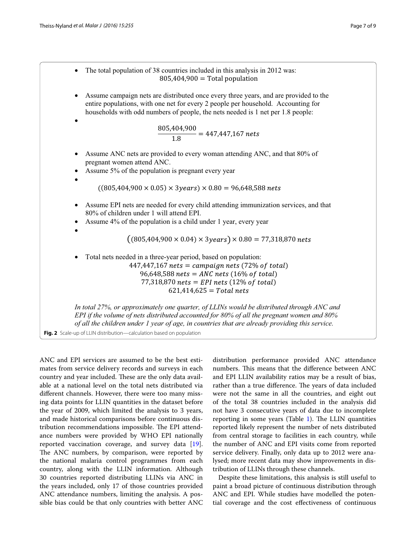

<span id="page-6-0"></span>ANC and EPI services are assumed to be the best estimates from service delivery records and surveys in each country and year included. These are the only data available at a national level on the total nets distributed via different channels. However, there were too many missing data points for LLIN quantities in the dataset before the year of 2009, which limited the analysis to 3 years, and made historical comparisons before continuous distribution recommendations impossible. The EPI attendance numbers were provided by WHO EPI nationally reported vaccination coverage, and survey data [\[19](#page-8-9)]. The ANC numbers, by comparison, were reported by the national malaria control programmes from each country, along with the LLIN information. Although 30 countries reported distributing LLINs via ANC in the years included, only 17 of those countries provided ANC attendance numbers, limiting the analysis. A possible bias could be that only countries with better ANC distribution performance provided ANC attendance numbers. This means that the difference between ANC and EPI LLIN availability ratios may be a result of bias, rather than a true difference. The years of data included were not the same in all the countries, and eight out of the total 38 countries included in the analysis did not have 3 consecutive years of data due to incomplete reporting in some years (Table [1\)](#page-3-0). The LLIN quantities reported likely represent the number of nets distributed from central storage to facilities in each country, while the number of ANC and EPI visits come from reported service delivery. Finally, only data up to 2012 were analysed; more recent data may show improvements in distribution of LLINs through these channels.

Despite these limitations, this analysis is still useful to paint a broad picture of continuous distribution through ANC and EPI. While studies have modelled the potential coverage and the cost effectiveness of continuous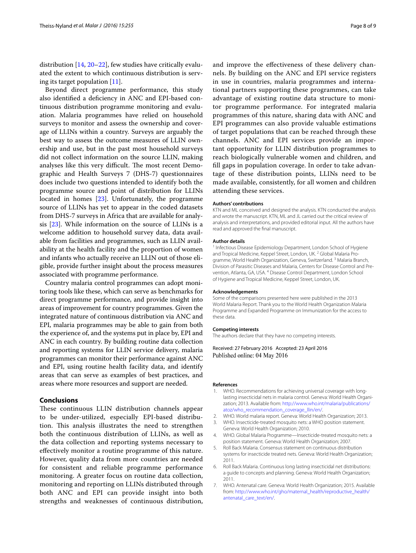distribution [[14,](#page-8-6) [20](#page-8-10)–[22\]](#page-8-11), few studies have critically evaluated the extent to which continuous distribution is serving its target population [\[11](#page-8-3)].

Beyond direct programme performance, this study also identified a deficiency in ANC and EPI-based continuous distribution programme monitoring and evaluation. Malaria programmes have relied on household surveys to monitor and assess the ownership and coverage of LLINs within a country. Surveys are arguably the best way to assess the outcome measures of LLIN ownership and use, but in the past most household surveys did not collect information on the source LLIN, making analyses like this very difficult. The most recent Demographic and Health Surveys 7 (DHS-7) questionnaires does include two questions intended to identify both the programme source and point of distribution for LLINs located in homes [[23\]](#page-8-12). Unfortunately, the programme source of LLINs has yet to appear in the coded datasets from DHS-7 surveys in Africa that are available for analysis [[23\]](#page-8-12). While information on the source of LLINs is a welcome addition to household survey data, data available from facilities and programmes, such as LLIN availability at the health facility and the proportion of women and infants who actually receive an LLIN out of those eligible, provide further insight about the process measures associated with programme performance.

Country malaria control programmes can adopt monitoring tools like these, which can serve as benchmarks for direct programme performance, and provide insight into areas of improvement for country programmes. Given the integrated nature of continuous distribution via ANC and EPI, malaria programmes may be able to gain from both the experience of, and the systems put in place by, EPI and ANC in each country. By building routine data collection and reporting systems for LLIN service delivery, malaria programmes can monitor their performance against ANC and EPI, using routine health facility data, and identify areas that can serve as examples of best practices, and areas where more resources and support are needed.

## **Conclusions**

These continuous LLIN distribution channels appear to be under-utilized, especially EPI-based distribution. This analysis illustrates the need to strengthen both the continuous distribution of LLINs, as well as the data collection and reporting systems necessary to effectively monitor a routine programme of this nature. However, quality data from more countries are needed for consistent and reliable programme performance monitoring. A greater focus on routine data collection, monitoring and reporting on LLINs distributed through both ANC and EPI can provide insight into both strengths and weaknesses of continuous distribution, and improve the effectiveness of these delivery channels. By building on the ANC and EPI service registers in use in countries, malaria programmes and international partners supporting these programmes, can take advantage of existing routine data structure to monitor programme performance. For integrated malaria programmes of this nature, sharing data with ANC and EPI programmes can also provide valuable estimations of target populations that can be reached through these channels. ANC and EPI services provide an important opportunity for LLIN distribution programmes to reach biologically vulnerable women and children, and fill gaps in population coverage. In order to take advantage of these distribution points, LLINs need to be made available, consistently, for all women and children attending these services.

#### **Authors' contributions**

KTN and ML conceived and designed the analysis. KTN conducted the analysis and wrote the manuscript. KTN, ML and JL carried out the critical review of analysis and interpretations, and provided editorial input. All the authors have read and approved the final manuscript.

#### **Author details**

<sup>1</sup> Infectious Disease Epidemiology Department, London School of Hygiene and Tropical Medicine, Keppel Street, London, UK.<sup>2</sup> Global Malaria Pro gramme, World Health Organization, Geneva, Switzerland. 3 Malaria Branch, Division of Parasitic Diseases and Malaria, Centers for Disease Control and Pre‑ vention, Atlanta, GA, USA. 4 Disease Control Department, London School of Hygiene and Tropical Medicine, Keppel Street, London, UK.

#### **Acknowledgements**

Some of the comparisons presented here were published in the 2013 World Malaria Report. Thank you to the World Health Organization Malaria Programme and Expanded Programme on Immunization for the access to these data.

#### **Competing interests**

The authors declare that they have no competing interests.

Received: 27 February 2016 Accepted: 23 April 2016 Published online: 04 May 2016

#### **References**

- <span id="page-7-0"></span>1. WHO. Recommendations for achieving universal coverage with longlasting insecticidal nets in malaria control. Geneva: World Health Organization; 2013. Available from: [http://www.who.int/malaria/publications/](http://www.who.int/malaria/publications/atoz/who_recommendation_coverage_llin/en/) [atoz/who\\_recommendation\\_coverage\\_llin/en/](http://www.who.int/malaria/publications/atoz/who_recommendation_coverage_llin/en/).
- <span id="page-7-1"></span>2. WHO. World malaria report. Geneva: World Health Organization; 2013.
- <span id="page-7-2"></span>3. WHO. Insecticide-treated mosquito nets: a WHO position statement. Geneva: World Health Organization; 2010.
- <span id="page-7-5"></span>4. WHO. Global Malaria Programme—Insecticide-treated mosquito nets: a position statement. Geneva: World Health Organization; 2007.
- 5. Roll Back Malaria. Consensus statement on continuous distribution systems for insecticide treated nets. Geneva: World Health Organization; 2011.
- <span id="page-7-3"></span>6. Roll Back Malaria. Continuous long lasting insecticidal net distributions: a guide to concepts and planning. Geneva: World Health Organization; 2011.
- <span id="page-7-4"></span>7. WHO. Antenatal care. Geneva: World Health Organization; 2015. Available from: [http://www.who.int/gho/maternal\\_health/reproductive\\_health/](http://www.who.int/gho/maternal_health/reproductive_health/antenatal_care_text/en/) [antenatal\\_care\\_text/en/](http://www.who.int/gho/maternal_health/reproductive_health/antenatal_care_text/en/).